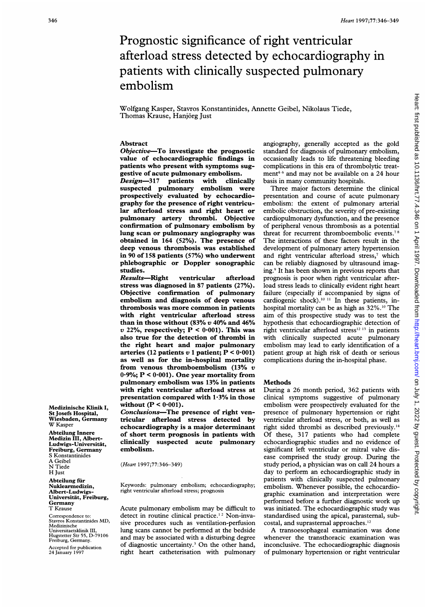# Prognostic significance of right ventricular afterload stress detected by echocardiography in patients with clinically suspected pulmonary embolism

Wolfgang Kasper, Stavros Konstantinides, Annette Geibel, Nikolaus Tiede, Thomas Krause, Hanjorg Just

# Abstract

Objective-To investigate the prognostic value of echocardiographic findings in patients who present with symptoms suggestive of acute pulmonary embolism.<br> *Design*—317 patients with clinically

 $Design - 317$ suspected pulmonary embolism were prospectively evaluated by echocardiography for the presence of right ventricular afterload stress and right heart or pulmonary artery thrombi. Objective confirmation of pulmonary embolism by lung scan or pulmonary angiography was obtained in 164 (52%). The presence of deep venous thrombosis was established in 90 of 158 patients (57%) who underwent phlebographic or Doppler sonographic studies.

Results-Right ventricular afterload stress was diagnosed in 87 patients (27%). Objective confirmation of pulmonary embolism and diagnosis of deep venous thrombosis was more common in patients with right ventricular afterload stress than in those without (83%  $v$  40% and 46%  $v$  22%, respectively;  $P < 0.001$ ). This was also true for the detection of thrombi in the right heart and major pulmonary arteries (12 patients v 1 patient;  $P < 0.001$ ) as well as for the in-hospital mortality from venous thromboembolism (13% v  $0.9\%; P < 0.001$ ). One year mortality from pulmonary embolism was 13% in patients with right ventricular afterload stress at presentation compared with 1-3% in those without  $(P < 0.001)$ .

Conclusions-The presence of right ventricular afterload stress detected by echocardiography is a major determinant of short term prognosis in patients with clinically suspected acute pulmonary embolism.

(Heart 1997;77:346-349)

Keywords: pulmonary embolism; echocardiography; right ventricular afterload stress; prognosis

Acute pulmonary embolism may be difficult to detect in routine clinical practice.<sup>12</sup> Non-invasive procedures such as ventilation-perfusion lung scans cannot be performed at the bedside and may be associated with <sup>a</sup> disturbing degree of diagnostic uncertainty.<sup>3</sup> On the other hand, right heart catheterisation with pulmonary

angiography, generally accepted as the gold standard for diagnosis of pulmonary embolism, occasionally leads to life threatening bleeding complications in this era of thrombolytic treatment4-6 and may not be available on <sup>a</sup> 24 hour basis in many community hospitals.

Three major factors determine the clinical presentation and course of acute pulmonary embolism: the extent of pulmonary arterial embolic obstruction, the severity of pre-existing cardiopulmonary dysfunction, and the presence of peripheral venous thrombosis as a potential threat for recurrent thromboembolic events.78 The interactions of these factors result in the development of pulmonary artery hypertension and right ventricular afterload stress,7 which can be reliably diagnosed by ultrasound imaging.9 It has been shown in previous reports that prognosis is poor when right ventricular afterload stress leads to clinically evident right heart failure (especially if accompanied by signs of cardiogenic shock).10 <sup>11</sup> In these patients, inhospital mortality can be as high as 32%.10 The aim of this prospective study was to test the hypothesis that echocardiographic detection of right ventricular afterload stress<sup>12</sup><sup>13</sup> in patients with clinically suspected acute pulmonary embolism may lead to early identification of <sup>a</sup> patient group at high risk of death or serious complications during the in-hospital phase.

# **Methods**

During a 26 month period, 362 patients with clinical symptoms suggestive of pulmonary embolism were prospectively evaluated for the presence of pulmonary hypertension or right ventricular afterload stress, or both, as well as right sided thrombi as described previously.<sup>14</sup> Of these, 317 patients who had complete echocardiographic studies and no evidence of significant left ventricular or mitral valve disease comprised the study group. During the study period, a physician was on call 24 hours a day to perform an echocardiographic study in patients with clinically suspected pulmonary embolism. Whenever possible, the echocardiographic examination and interpretation were performed before a further diagnostic work up was initiated. The echocardiographic study was standardised using the apical, parastemal, subcostal, and suprastemal approaches.'2

A transoesophageal examination was done whenever the transthoracic examination was inconclusive. The echocardiographic diagnosis of pulmonary hypertension or right ventricular

St Josefs Hospital, Wiesbaden, Germany W Kasper Abteilung Innere Medizin III, Albert-Ludwigs-Universitat, Freiburg, Germany S Konstantinides A Geibel Tiede H Just Abteilung für Nuklearmedizin,

Medizinische Klinik I,

Albert-Ludwigs-Universitat, Freiburg, Germany T Krause Correspondence to: Stavros Konstantinides MD,

Medizinische Universitaetsklinik III, Hugstetter Str 55, D-79106 Freiburg, Germany. Accepted for publication 24 January 1997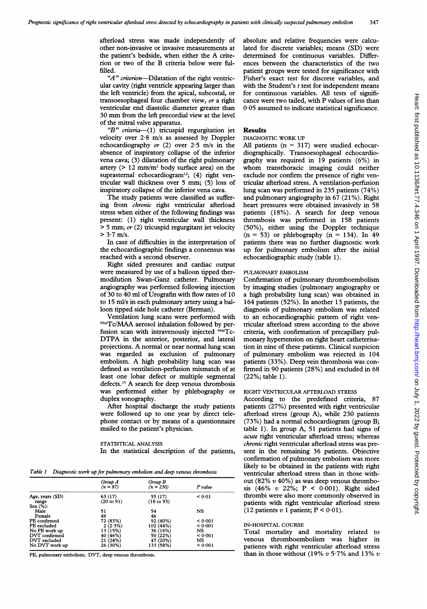afterload stress was made independently of other non-invasive or invasive measurements at the patient's bedside, when either the A criterion or two of the B criteria below were fulfilled.

" $A$ " criterion---Dilatation of the right ventricular cavity (right ventricle appearing larger than the left ventricle) from the apical, subcostal, or transoesophageal four chamber view, or a right ventricular end diastolic diameter greater than <sup>30</sup> mm from the left precordial view at the level of the mitral valve apparatus.

"B" criteria- $(1)$  tricuspid regurgitation jet velocity over 2-8 m/s as assessed by Doppler echocardiography or (2) over 2-5 m/s in the absence of inspiratory collapse of the inferior vena cava; (3) dilatation of the right pulmonary artery (> 12 mm/m2 body surface area) on the suprasternal echocardiogram<sup>12</sup>; (4) right ventricular wall thickness over <sup>5</sup> mm; (5) loss of inspiratory collapse of the inferior vena cava.

The study patients were classified as suffering from chronic right ventricular afterload stress when either of the following findings was present: (1) right ventricular wall thickness > <sup>5</sup> mm; or (2) tricuspid regurgitant jet velocity  $> 3.7$  m/s.

In case of difficulties in the interpretation of the echocardiographic findings a consensus was reached with a second observer.

Right sided pressures and cardiac output were measured by use of a balloon tipped thermodilution Swan-Ganz catheter. Pulmonary angiography was performed following injection of 30 to 40 ml of Urografin with flow rates of 10 to 15 ml/s in each pulmonary artery using a balloon tipped side hole catheter (Berman).

Ventilation lung scans were performed with 99mTc/MAA aerosol inhalation followed by perfusion scan with intravenously injected <sup>99mT</sup>c-DTPA in the anterior, posterior, and lateral projections. A normal or near normal lung scan was regarded as exclusion of pulmonary embolism. A high probability lung scan was defined as ventilation-perfusion mismatch of at least one lobar defect or multiple segmental defects.<sup>15</sup> A search for deep venous thrombosis was performed either by phlebography or duplex sonography.

After hospital discharge the study patients were followed up to one year by direct telephone contact or by means of a questionnaire mailed to the patient's physician.

# STATISTICAL ANALYSIS

In the statistical description of the patients,

Table <sup>1</sup> Diagnostic work up for pulmonary embolism and deep venous thrombosis

|                 | Group A<br>$(n = 87)$ | Group B<br>$(n = 230)$ | P value |
|-----------------|-----------------------|------------------------|---------|
| Age, years (SD) | 63 (17)               | 55 (17)                | < 0.01  |
| range           | $(20 \text{ to } 91)$ | $(18 \text{ to } 93)$  |         |
| Sex(%):         |                       |                        |         |
| Male            | 51                    | 54                     | NS      |
| Female          | 49                    | 46                     |         |
| PE confirmed    | 72 (83%)              | 92 (40%)               | 0.001   |
| PE excluded     | 2(2.3%)               | 102 (44%)              | 0.001   |
| No PE work up   | 13 (15%)              | 36 (16%)               | NS      |
| DVT confirmed   | 40 (46%)              | 50 (22%)               | < 0.001 |
| DVT excluded    | 21 (24%)              | 47 (20%)               | NS      |
| No DVT work up  | 26 (30%)              | 133 (58%)              | < 0.001 |

PE, pulmonary embolism; DVT, deep venous thrombosis.

absolute and relative frequencies were calculated for discrete variables; means (SD) were determined for continuous variables. Differences between the characteristics of the two patient groups were tested for significance with Fisher's exact test for discrete variables, and with the Student's  $t$  test for independent means for continuous variables. All tests of significance were two tailed, with P values of less than 0.05 assumed to indicate statistical significance.

# Results

# DIAGNOSTIC WORK UP

All patients  $(n = 317)$  were studied echocardiographically. Transoesophageal echocardiography was required in 19 patients (6%) in whom transthoracic imaging could neither exclude nor confirm the presence of right ventricular afterload stress. A ventilation-perfusion lung scan was performed in 235 patients (74%) and pulmonary angiography in 67 (21%). Right heart pressures were obtained invasively in 58 patients (18%). A search for deep venous thrombosis was performed in 158 patients (50%), either using the Doppler technique  $(n = 53)$  or phlebography  $(n = 134)$ . In 49 patients there was no further diagnostic work up for pulmonary embolism after the initial echocardiographic study (table 1).

# PULMONARY EMBOLISM

Confirmation of pulmonary thromboembolism by imaging studies (pulmonary angiography or a high probability lung scan) was obtained in 164 patients (52%). In another 13 patients, the diagnosis of pulmonary embolism was related to an echocardiographic pattern of right ventricular afterload stress according to the above criteria, with confirnation of precapillary pulmonary hypertension on right heart catheterisation in nine of these patients. Clinical suspicion of pulmonary embolism was rejected in 104 patients (33%). Deep vein thrombosis was confirmed in 90 patients (28%) and excluded in 68 (22%; table 1).

# RIGHT VENTRICULAR AFTERLOAD STRESS

According to the predefined criteria, 87 patients (27%) presented with right ventricular afterload stress (group A), while 230 patients (73%) had a normal echocardiogram (group B; table 1). In group A, 51 patients had signs of acute right ventricular afterload stress; whereas chronic right ventricular afterload stress was present in the remaining 36 patients. Objective confirmation of pulmonary embolism was more likely to be obtained in the patients with right ventricular afterload stress than in those without (82%  $v$  40%) as was deep venous thrombosis (46% v 22%; P < 0-001). Right sided thrombi were also more commonly observed in patients with right ventricular afterload stress (12 patients  $v$  1 patient;  $P < 0.01$ ).

#### IN-HOSPITAL COURSE

Total mortality and mortality related to venous thromboembolism was higher in patients with right ventricular afterload stress than in those without (19%  $v$  5.7% and 13%  $v$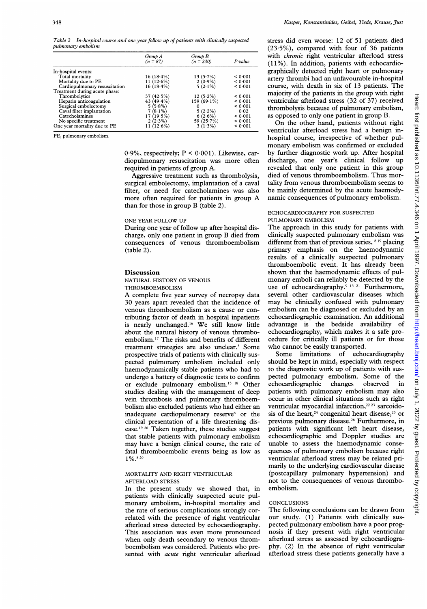Table 2 In-hospital course and one year follow up of patients with clinically suspected pulmonary embolism

|                               | Group A<br>$(n = 87)$ | Group~B<br>$(n = 230)$ | P value |
|-------------------------------|-----------------------|------------------------|---------|
| In-hospital events:           |                       |                        |         |
| Total mortality               | $16(18.4\%)$          | $13(5.7\%)$            | < 0.001 |
| Mortality due to PE           | 11 $(12.6%)$          | $2(0.9\%)$             | < 0.001 |
| Cardiopulmonary resuscitation | $16(18.4\%)$          | $5(2.1\%)$             | < 0.001 |
| Treatment during acute phase: |                       |                        |         |
| Thrombolytics                 | 37(42.5%)             | $12(5.2\%)$            | < 0.001 |
| Heparin anticoagulation       | 43 $(49.4\%)$         | 159 (69 $\cdot$ 1%)    | < 0.001 |
| Surgical embolectomy          | $5(5.8\%)$            | $\Omega$               | < 0.001 |
| Caval filter implantation     | $7(8.1\%)$            | $5(2.2\%)$             | 0.02    |
| Catecholamines                | $17(19.5\%)$          | $6(2.6\%)$             | 0.001   |
| No specific treatment         | 2(2.3%)               | 59 $(25.7%)$           | < 0.001 |
| One year mortality due to PE  | 11 $(12.6%)$          | $3(1.3\%)$             | < 0.001 |

PE, pulmonary embolism.

0.9%, respectively;  $P < 0.001$ ). Likewise, cardiopulmonary resuscitation was more often required in patients of group A.

Aggressive treatment such as thrombolysis, surgical embolectomy, implantation of a caval filter, or need for catecholamines was also more often required for patients in group A than for those in group B (table 2).

### ONE YEAR FOLLOW UP

During one year of follow up after hospital discharge, only one patient in group B died from consequences of venous thromboembolism (table 2).

## Discussion

NATURAL HISTORY OF VENOUS THROMBOEMBOLISM

A complete five year survey of necropsy data 30 years apart revealed that the incidence of venous thromboembolism as a cause or contributing factor of death in hospital inpatients is nearly unchanged.16 We still know little about the natural history of venous thromboembolism.'7 The risks and benefits of different treatment strategies are also unclear.<sup>3</sup> Some prospective trials of patients with clinically suspected pulmonary embolism included only haemodynamically stable patients who had to undergo a battery of diagnostic tests to confirm or exclude pulmonary embolism.<sup>15 18</sup> Other studies dealing with the management of deep vein thrombosis and pulmonary thromboembolism also excluded patients who had either an inadequate cardiopulmonary reserve<sup>8</sup> or the clinical presentation of a life threatening disease.'9 <sup>20</sup> Taken together, these studies suggest that stable patients with pulmonary embolism may have <sup>a</sup> benign clinical course, the rate of fatal thromboembolic events being as low as 1%.820

## MORTALITY AND RIGHT VENTRICULAR AFTERLOAD STRESS

In the present study we showed that, in patients with clinically suspected acute pulmonary embolism, in-hospital mortality and the rate of serious complications strongly correlated with the presence of right ventricular afterload stress detected by echocardiography. This association was even more pronounced when only death secondary to venous thromboembolism was considered. Patients who presented with *acute* right ventricular afterload stress did even worse: 12 of 51 patients died (23-5%), compared with four of 36 patients with chronic right ventricular afterload stress (11%). In addition, patients with echocardiographically detected right heart or pulmonary artery thrombi had an unfavourable in-hospital course, with death in six of 13 patients. The majority of the patients in the group with right ventricular afterload stress (32 of 37) received thrombolysis because of pulmonary embolism, as opposed to only one patient in group B.

On the other hand, patients without right ventricular afterload stress had a benign inhospital course, irrespective of whether pulmonary embolism was confirmed or excluded by further diagnostic work up. After hospital discharge, one year's clinical follow up revealed that only one patient in this group died of venous thromboembolism. Thus mortality from venous thromboembolism seems to be mainly determined by the acute haemodynamic consequences of pulmonary embolism.

# ECHOCARDIOGRAPHY FOR SUSPECTED PULMONARY EMBOLISM

The approach in this study for patients with clinically suspected pulmonary embolism was different from that of previous series, 819 placing primary emphasis on the haemodynamic results of a clinically suspected pulmonary thromboembolic event. It has already been shown that the haemodynamic effects of pulmonary emboli can reliably be detected by the use of echocardiography.<sup>9</sup> 13 <sup>21</sup> Furthermore, several other cardiovascular diseases which may be clinically confused with pulmonary embolism can be diagnosed or excluded by an echocardiographic examination. An additional advantage is the bedside availability of echocardiography, which makes it a safe procedure for critically ill patients or for those who cannot be easily transported.

Some limitations of echocardiography should be kept in mind, especially with respect to the diagnostic work up of patients with suspected pulmonary embolism. Some of the echocardiographic changes observed in patients with pulmonary embolism may also occur in other clinical situations such as right ventricular myocardial infarction,<sup>22,23</sup> sarcoidosis of the heart,<sup>24</sup> congenital heart disease,<sup>25</sup> or previous pulmonary disease.<sup>26</sup> Furthermore, in patients with significant left heart disease, echocardiographic and Doppler studies are unable to assess the haemodynamic consequences of pulmonary embolism because right ventricular afterload stress may be related primarily to the underlying cardiovascular disease (postcapillary pulmonary hypertension) and not to the consequences of venous thromboembolism.

## CONCLUSIONS

The following conclusions can be drawn from our study. (1) Patients with clinically suspected pulmonary embolism have a poor prognosis if they present with right ventricular afterload stress as assessed by echocardiography. (2) In the absence of right ventricular afterload stress these patients generally have a